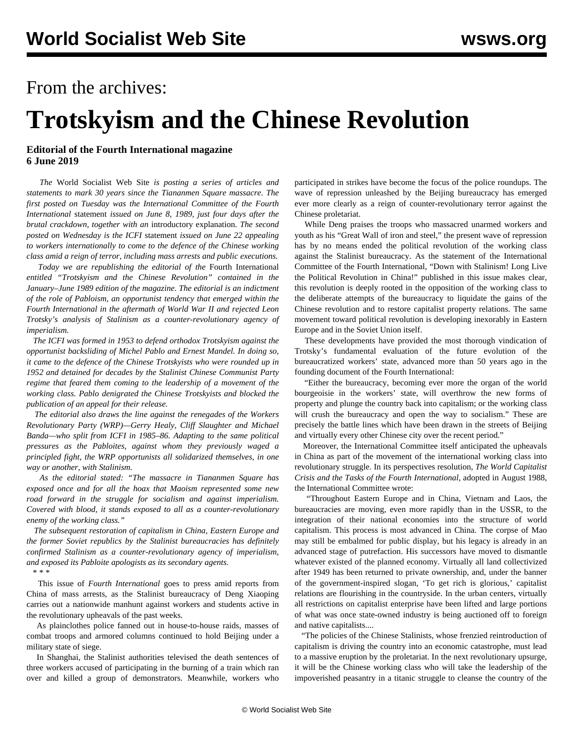## From the archives:

## **Trotskyism and the Chinese Revolution**

## **Editorial of the Fourth International magazine 6 June 2019**

 *The* World Socialist Web Site *is posting a series of articles and statements to mark 30 years since the Tiananmen Square massacre. The first posted on Tuesday was the International Committee of the Fourth International* [statement](/en/articles/2019/06/04/tia1-j04.html) *issued on June 8, 1989, just four days after the brutal crackdown, together with an* [introductory explanation](/en/articles/2019/06/04/intr-j04.html)*. The second posted on Wednesday is the ICFI* [statement](/en/articles/2019/06/05/tian-j05.html) *issued on June 22 appealing to workers internationally to come to the defence of the Chinese working class amid a reign of terror, including mass arrests and public executions.*

 *Today we are republishing the editorial of the* Fourth International *entitled "Trotskyism and the Chinese Revolution" contained in the January–June 1989 edition of the magazine. The editorial is an indictment of the role of Pabloism, an opportunist tendency that emerged within the Fourth International in the aftermath of World War II and rejected Leon Trotsky's analysis of Stalinism as a counter-revolutionary agency of imperialism.*

 *The ICFI was formed in 1953 to defend orthodox Trotskyism against the opportunist backsliding of Michel Pablo and Ernest Mandel. In doing so, it came to the defence of the Chinese Trotskyists who were rounded up in 1952 and detained for decades by the Stalinist Chinese Communist Party regime that feared them coming to the leadership of a movement of the working class. Pablo denigrated the Chinese Trotskyists and blocked the publication of an appeal for their release.*

 *The editorial also draws the line against the renegades of the Workers Revolutionary Party (WRP)—Gerry Healy, Cliff Slaughter and Michael Banda—who split from ICFI in 1985–86. Adapting to the same political pressures as the Pabloites, against whom they previously waged a principled fight, the WRP opportunists all solidarized themselves, in one way or another, with Stalinism.*

 *As the editorial stated: "The massacre in Tiananmen Square has exposed once and for all the hoax that Maoism represented some new road forward in the struggle for socialism and against imperialism. Covered with blood, it stands exposed to all as a counter-revolutionary enemy of the working class."*

 *The subsequent restoration of capitalism in China, Eastern Europe and the former Soviet republics by the Stalinist bureaucracies has definitely confirmed Stalinism as a counter-revolutionary agency of imperialism, and exposed its Pabloite apologists as its secondary agents.*

\* \* \*

 This issue of *Fourth International* goes to press amid reports from China of mass arrests, as the Stalinist bureaucracy of Deng Xiaoping carries out a nationwide manhunt against workers and students active in the revolutionary upheavals of the past weeks.

 As plainclothes police fanned out in house-to-house raids, masses of combat troops and armored columns continued to hold Beijing under a military state of siege.

 In Shanghai, the Stalinist authorities televised the death sentences of three workers accused of participating in the burning of a train which ran over and killed a group of demonstrators. Meanwhile, workers who participated in strikes have become the focus of the police roundups. The wave of repression unleashed by the Beijing bureaucracy has emerged ever more clearly as a reign of counter-revolutionary terror against the Chinese proletariat.

 While Deng praises the troops who massacred unarmed workers and youth as his "Great Wall of iron and steel," the present wave of repression has by no means ended the political revolution of the working class against the Stalinist bureaucracy. As the statement of the International Committee of the Fourth International, "Down with Stalinism! Long Live the Political Revolution in China!" published in this issue makes clear, this revolution is deeply rooted in the opposition of the working class to the deliberate attempts of the bureaucracy to liquidate the gains of the Chinese revolution and to restore capitalist property relations. The same movement toward political revolution is developing inexorably in Eastern Europe and in the Soviet Union itself.

 These developments have provided the most thorough vindication of Trotsky's fundamental evaluation of the future evolution of the bureaucratized workers' state, advanced more than 50 years ago in the founding document of the Fourth International:

 "Either the bureaucracy, becoming ever more the organ of the world bourgeoisie in the workers' state, will overthrow the new forms of property and plunge the country back into capitalism; or the working class will crush the bureaucracy and open the way to socialism." These are precisely the battle lines which have been drawn in the streets of Beijing and virtually every other Chinese city over the recent period."

 Moreover, the International Committee itself anticipated the upheavals in China as part of the movement of the international working class into revolutionary struggle. In its perspectives resolution, *The World Capitalist Crisis and the Tasks of the Fourth International*, adopted in August 1988, the International Committee wrote:

 "Throughout Eastern Europe and in China, Vietnam and Laos, the bureaucracies are moving, even more rapidly than in the USSR, to the integration of their national economies into the structure of world capitalism. This process is most advanced in China. The corpse of Mao may still be embalmed for public display, but his legacy is already in an advanced stage of putrefaction. His successors have moved to dismantle whatever existed of the planned economy. Virtually all land collectivized after 1949 has been returned to private ownership, and, under the banner of the government-inspired slogan, 'To get rich is glorious,' capitalist relations are flourishing in the countryside. In the urban centers, virtually all restrictions on capitalist enterprise have been lifted and large portions of what was once state-owned industry is being auctioned off to foreign and native capitalists....

 "The policies of the Chinese Stalinists, whose frenzied reintroduction of capitalism is driving the country into an economic catastrophe, must lead to a massive eruption by the proletariat. In the next revolutionary upsurge, it will be the Chinese working class who will take the leadership of the impoverished peasantry in a titanic struggle to cleanse the country of the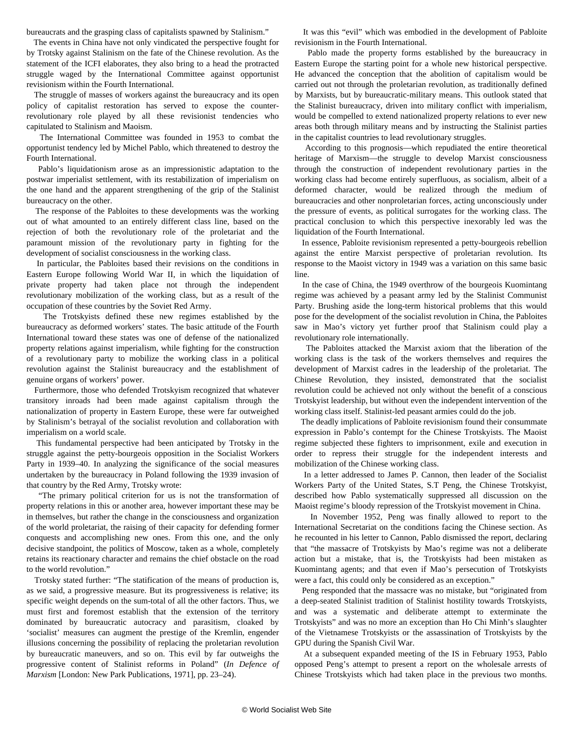bureaucrats and the grasping class of capitalists spawned by Stalinism."

 The events in China have not only vindicated the perspective fought for by Trotsky against Stalinism on the fate of the Chinese revolution. As the statement of the ICFI elaborates, they also bring to a head the protracted struggle waged by the International Committee against opportunist revisionism within the Fourth International.

 The struggle of masses of workers against the bureaucracy and its open policy of capitalist restoration has served to expose the counterrevolutionary role played by all these revisionist tendencies who capitulated to Stalinism and Maoism.

 The International Committee was founded in 1953 to combat the opportunist tendency led by Michel Pablo, which threatened to destroy the Fourth International.

 Pablo's liquidationism arose as an impressionistic adaptation to the postwar imperialist settlement, with its restabilization of imperialism on the one hand and the apparent strengthening of the grip of the Stalinist bureaucracy on the other.

 The response of the Pabloites to these developments was the working out of what amounted to an entirely different class line, based on the rejection of both the revolutionary role of the proletariat and the paramount mission of the revolutionary party in fighting for the development of socialist consciousness in the working class.

 In particular, the Pabloites based their revisions on the conditions in Eastern Europe following World War II, in which the liquidation of private property had taken place not through the independent revolutionary mobilization of the working class, but as a result of the occupation of these countries by the Soviet Red Army.

 The Trotskyists defined these new regimes established by the bureaucracy as deformed workers' states. The basic attitude of the Fourth International toward these states was one of defense of the nationalized property relations against imperialism, while fighting for the construction of a revolutionary party to mobilize the working class in a political revolution against the Stalinist bureaucracy and the establishment of genuine organs of workers' power.

 Furthermore, those who defended Trotskyism recognized that whatever transitory inroads had been made against capitalism through the nationalization of property in Eastern Europe, these were far outweighed by Stalinism's betrayal of the socialist revolution and collaboration with imperialism on a world scale.

 This fundamental perspective had been anticipated by Trotsky in the struggle against the petty-bourgeois opposition in the Socialist Workers Party in 1939–40. In analyzing the significance of the social measures undertaken by the bureaucracy in Poland following the 1939 invasion of that country by the Red Army, Trotsky wrote:

 "The primary political criterion for us is not the transformation of property relations in this or another area, however important these may be in themselves, but rather the change in the consciousness and organization of the world proletariat, the raising of their capacity for defending former conquests and accomplishing new ones. From this one, and the only decisive standpoint, the politics of Moscow, taken as a whole, completely retains its reactionary character and remains the chief obstacle on the road to the world revolution."

 Trotsky stated further: "The statification of the means of production is, as we said, a progressive measure. But its progressiveness is relative; its specific weight depends on the sum-total of all the other factors. Thus, we must first and foremost establish that the extension of the territory dominated by bureaucratic autocracy and parasitism, cloaked by 'socialist' measures can augment the prestige of the Kremlin, engender illusions concerning the possibility of replacing the proletarian revolution by bureaucratic maneuvers, and so on. This evil by far outweighs the progressive content of Stalinist reforms in Poland" (*In Defence of Marxism* [London: New Park Publications, 1971], pp. 23–24).

 It was this "evil" which was embodied in the development of Pabloite revisionism in the Fourth International.

 Pablo made the property forms established by the bureaucracy in Eastern Europe the starting point for a whole new historical perspective. He advanced the conception that the abolition of capitalism would be carried out not through the proletarian revolution, as traditionally defined by Marxists, but by bureaucratic-military means. This outlook stated that the Stalinist bureaucracy, driven into military conflict with imperialism, would be compelled to extend nationalized property relations to ever new areas both through military means and by instructing the Stalinist parties in the capitalist countries to lead revolutionary struggles.

 According to this prognosis—which repudiated the entire theoretical heritage of Marxism—the struggle to develop Marxist consciousness through the construction of independent revolutionary parties in the working class had become entirely superfluous, as socialism, albeit of a deformed character, would be realized through the medium of bureaucracies and other nonproletarian forces, acting unconsciously under the pressure of events, as political surrogates for the working class. The practical conclusion to which this perspective inexorably led was the liquidation of the Fourth International.

 In essence, Pabloite revisionism represented a petty-bourgeois rebellion against the entire Marxist perspective of proletarian revolution. Its response to the Maoist victory in 1949 was a variation on this same basic line.

 In the case of China, the 1949 overthrow of the bourgeois Kuomintang regime was achieved by a peasant army led by the Stalinist Communist Party. Brushing aside the long-term historical problems that this would pose for the development of the socialist revolution in China, the Pabloites saw in Mao's victory yet further proof that Stalinism could play a revolutionary role internationally.

 The Pabloites attacked the Marxist axiom that the liberation of the working class is the task of the workers themselves and requires the development of Marxist cadres in the leadership of the proletariat. The Chinese Revolution, they insisted, demonstrated that the socialist revolution could be achieved not only without the benefit of a conscious Trotskyist leadership, but without even the independent intervention of the working class itself. Stalinist-led peasant armies could do the job.

 The deadly implications of Pabloite revisionism found their consummate expression in Pablo's contempt for the Chinese Trotskyists. The Maoist regime subjected these fighters to imprisonment, exile and execution in order to repress their struggle for the independent interests and mobilization of the Chinese working class.

 In a letter addressed to James P. Cannon, then leader of the Socialist Workers Party of the United States, S.T Peng, the Chinese Trotskyist, described how Pablo systematically suppressed all discussion on the Maoist regime's bloody repression of the Trotskyist movement in China.

 In November 1952, Peng was finally allowed to report to the International Secretariat on the conditions facing the Chinese section. As he recounted in his letter to Cannon, Pablo dismissed the report, declaring that "the massacre of Trotskyists by Mao's regime was not a deliberate action but a mistake, that is, the Trotskyists had been mistaken as Kuomintang agents; and that even if Mao's persecution of Trotskyists were a fact, this could only be considered as an exception."

 Peng responded that the massacre was no mistake, but "originated from a deep-seated Stalinist tradition of Stalinist hostility towards Trotskyists, and was a systematic and deliberate attempt to exterminate the Trotskyists" and was no more an exception than Ho Chi Minh's slaughter of the Vietnamese Trotskyists or the assassination of Trotskyists by the GPU during the Spanish Civil War.

 At a subsequent expanded meeting of the IS in February 1953, Pablo opposed Peng's attempt to present a report on the wholesale arrests of Chinese Trotskyists which had taken place in the previous two months.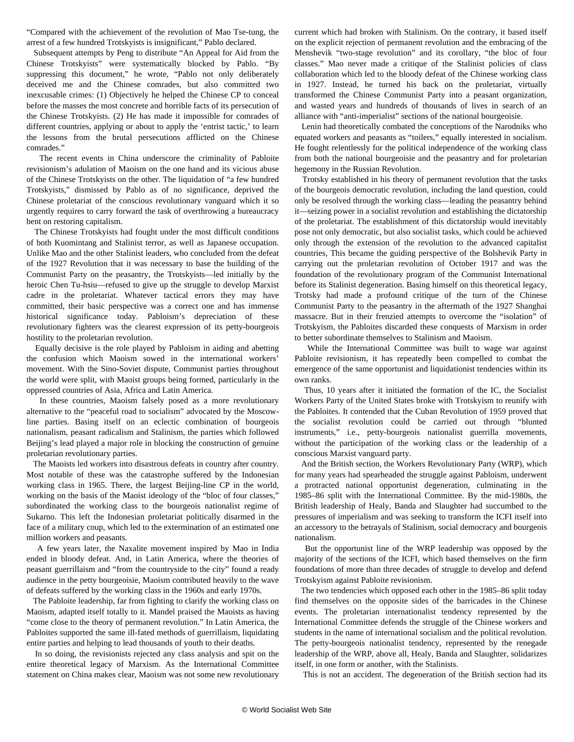"Compared with the achievement of the revolution of Mao Tse-tung, the arrest of a few hundred Trotskyists is insignificant," Pablo declared.

 Subsequent attempts by Peng to distribute "An Appeal for Aid from the Chinese Trotskyists" were systematically blocked by Pablo. "By suppressing this document," he wrote, "Pablo not only deliberately deceived me and the Chinese comrades, but also committed two inexcusable crimes: (1) Objectively he helped the Chinese CP to conceal before the masses the most concrete and horrible facts of its persecution of the Chinese Trotskyists. (2) He has made it impossible for comrades of different countries, applying or about to apply the 'entrist tactic,' to learn the lessons from the brutal persecutions afflicted on the Chinese comrades."

 The recent events in China underscore the criminality of Pabloite revisionism's adulation of Maoism on the one hand and its vicious abuse of the Chinese Trotskyists on the other. The liquidation of "a few hundred Trotskyists," dismissed by Pablo as of no significance, deprived the Chinese proletariat of the conscious revolutionary vanguard which it so urgently requires to carry forward the task of overthrowing a bureaucracy bent on restoring capitalism.

 The Chinese Trotskyists had fought under the most difficult conditions of both Kuomintang and Stalinist terror, as well as Japanese occupation. Unlike Mao and the other Stalinist leaders, who concluded from the defeat of the 1927 Revolution that it was necessary to base the building of the Communist Party on the peasantry, the Trotskyists—led initially by the heroic Chen Tu-hsiu—refused to give up the struggle to develop Marxist cadre in the proletariat. Whatever tactical errors they may have committed, their basic perspective was a correct one and has immense historical significance today. Pabloism's depreciation of these revolutionary fighters was the clearest expression of its petty-bourgeois hostility to the proletarian revolution.

 Equally decisive is the role played by Pabloism in aiding and abetting the confusion which Maoism sowed in the international workers' movement. With the Sino-Soviet dispute, Communist parties throughout the world were split, with Maoist groups being formed, particularly in the oppressed countries of Asia, Africa and Latin America.

 In these countries, Maoism falsely posed as a more revolutionary alternative to the "peaceful road to socialism" advocated by the Moscowline parties. Basing itself on an eclectic combination of bourgeois nationalism, peasant radicalism and Stalinism, the parties which followed Beijing's lead played a major role in blocking the construction of genuine proletarian revolutionary parties.

 The Maoists led workers into disastrous defeats in country after country. Most notable of these was the catastrophe suffered by the Indonesian working class in 1965. There, the largest Beijing-line CP in the world, working on the basis of the Maoist ideology of the "bloc of four classes," subordinated the working class to the bourgeois nationalist regime of Sukarno. This left the Indonesian proletariat politically disarmed in the face of a military coup, which led to the extermination of an estimated one million workers and peasants.

 A few years later, the Naxalite movement inspired by Mao in India ended in bloody defeat. And, in Latin America, where the theories of peasant guerrillaism and "from the countryside to the city" found a ready audience in the petty bourgeoisie, Maoism contributed heavily to the wave of defeats suffered by the working class in the 1960s and early 1970s.

 The Pabloite leadership, far from fighting to clarify the working class on Maoism, adapted itself totally to it. Mandel praised the Maoists as having "come close to the theory of permanent revolution." In Latin America, the Pabloites supported the same ill-fated methods of guerrillaism, liquidating entire parties and helping to lead thousands of youth to their deaths.

 In so doing, the revisionists rejected any class analysis and spit on the entire theoretical legacy of Marxism. As the International Committee statement on China makes clear, Maoism was not some new revolutionary current which had broken with Stalinism. On the contrary, it based itself on the explicit rejection of permanent revolution and the embracing of the Menshevik "two-stage revolution" and its corollary, "the bloc of four classes." Mao never made a critique of the Stalinist policies of class collaboration which led to the bloody defeat of the Chinese working class in 1927. Instead, he turned his back on the proletariat, virtually transformed the Chinese Communist Party into a peasant organization, and wasted years and hundreds of thousands of lives in search of an alliance with "anti-imperialist" sections of the national bourgeoisie.

 Lenin had theoretically combated the conceptions of the Narodniks who equated workers and peasants as "toilers," equally interested in socialism. He fought relentlessly for the political independence of the working class from both the national bourgeoisie and the peasantry and for proletarian hegemony in the Russian Revolution.

 Trotsky established in his theory of permanent revolution that the tasks of the bourgeois democratic revolution, including the land question, could only be resolved through the working class—leading the peasantry behind it—seizing power in a socialist revolution and establishing the dictatorship of the proletariat. The establishment of this dictatorship would inevitably pose not only democratic, but also socialist tasks, which could be achieved only through the extension of the revolution to the advanced capitalist countries, This became the guiding perspective of the Bolshevik Party in carrying out the proletarian revolution of October 1917 and was the foundation of the revolutionary program of the Communist International before its Stalinist degeneration. Basing himself on this theoretical legacy, Trotsky had made a profound critique of the turn of the Chinese Communist Party to the peasantry in the aftermath of the 1927 Shanghai massacre. But in their frenzied attempts to overcome the "isolation" of Trotskyism, the Pabloites discarded these conquests of Marxism in order to better subordinate themselves to Stalinism and Maoism.

 While the International Committee was built to wage war against Pabloite revisionism, it has repeatedly been compelled to combat the emergence of the same opportunist and liquidationist tendencies within its own ranks.

 Thus, 10 years after it initiated the formation of the IC, the Socialist Workers Party of the United States broke with Trotskyism to reunify with the Pabloites. It contended that the Cuban Revolution of 1959 proved that the socialist revolution could be carried out through "blunted instruments," i.e., petty-bourgeois nationalist guerrilla movements, without the participation of the working class or the leadership of a conscious Marxist vanguard party.

 And the British section, the Workers Revolutionary Party (WRP), which for many years had spearheaded the struggle against Pabloism, underwent a protracted national opportunist degeneration, culminating in the 1985–86 split with the International Committee. By the mid-1980s, the British leadership of Healy, Banda and Slaughter had succumbed to the pressures of imperialism and was seeking to transform the ICFI itself into an accessory to the betrayals of Stalinism, social democracy and bourgeois nationalism.

 But the opportunist line of the WRP leadership was opposed by the majority of the sections of the ICFI, which based themselves on the firm foundations of more than three decades of struggle to develop and defend Trotskyism against Pabloite revisionism.

 The two tendencies which opposed each other in the 1985–86 split today find themselves on the opposite sides of the barricades in the Chinese events. The proletarian internationalist tendency represented by the International Committee defends the struggle of the Chinese workers and students in the name of international socialism and the political revolution. The petty-bourgeois nationalist tendency, represented by the renegade leadership of the WRP, above all, Healy, Banda and Slaughter, solidarizes itself, in one form or another, with the Stalinists.

This is not an accident. The degeneration of the British section had its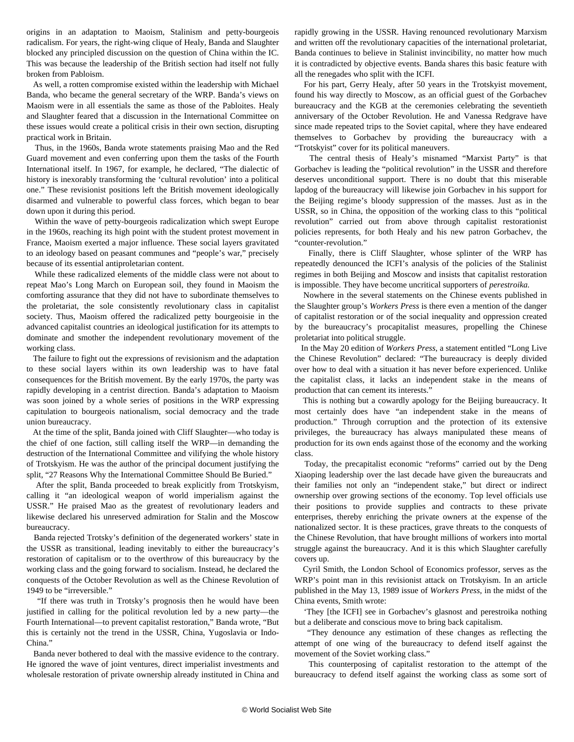origins in an adaptation to Maoism, Stalinism and petty-bourgeois radicalism. For years, the right-wing clique of Healy, Banda and Slaughter blocked any principled discussion on the question of China within the IC. This was because the leadership of the British section had itself not fully broken from Pabloism.

 As well, a rotten compromise existed within the leadership with Michael Banda, who became the general secretary of the WRP. Banda's views on Maoism were in all essentials the same as those of the Pabloites. Healy and Slaughter feared that a discussion in the International Committee on these issues would create a political crisis in their own section, disrupting practical work in Britain.

 Thus, in the 1960s, Banda wrote statements praising Mao and the Red Guard movement and even conferring upon them the tasks of the Fourth International itself. In 1967, for example, he declared, "The dialectic of history is inexorably transforming the 'cultural revolution' into a political one." These revisionist positions left the British movement ideologically disarmed and vulnerable to powerful class forces, which began to bear down upon it during this period.

 Within the wave of petty-bourgeois radicalization which swept Europe in the 1960s, reaching its high point with the student protest movement in France, Maoism exerted a major influence. These social layers gravitated to an ideology based on peasant communes and "people's war," precisely because of its essential antiproletarian content.

 While these radicalized elements of the middle class were not about to repeat Mao's Long March on European soil, they found in Maoism the comforting assurance that they did not have to subordinate themselves to the proletariat, the sole consistently revolutionary class in capitalist society. Thus, Maoism offered the radicalized petty bourgeoisie in the advanced capitalist countries an ideological justification for its attempts to dominate and smother the independent revolutionary movement of the working class.

 The failure to fight out the expressions of revisionism and the adaptation to these social layers within its own leadership was to have fatal consequences for the British movement. By the early 1970s, the party was rapidly developing in a centrist direction. Banda's adaptation to Maoism was soon joined by a whole series of positions in the WRP expressing capitulation to bourgeois nationalism, social democracy and the trade union bureaucracy.

 At the time of the split, Banda joined with Cliff Slaughter—who today is the chief of one faction, still calling itself the WRP—in demanding the destruction of the International Committee and vilifying the whole history of Trotskyism. He was the author of the principal document justifying the split, "27 Reasons Why the International Committee Should Be Buried."

 After the split, Banda proceeded to break explicitly from Trotskyism, calling it "an ideological weapon of world imperialism against the USSR." He praised Mao as the greatest of revolutionary leaders and likewise declared his unreserved admiration for Stalin and the Moscow bureaucracy.

 Banda rejected Trotsky's definition of the degenerated workers' state in the USSR as transitional, leading inevitably to either the bureaucracy's restoration of capitalism or to the overthrow of this bureaucracy by the working class and the going forward to socialism. Instead, he declared the conquests of the October Revolution as well as the Chinese Revolution of 1949 to be "irreversible."

 "If there was truth in Trotsky's prognosis then he would have been justified in calling for the political revolution led by a new party—the Fourth International—to prevent capitalist restoration," Banda wrote, "But this is certainly not the trend in the USSR, China, Yugoslavia or Indo-China<sup>"</sup>

 Banda never bothered to deal with the massive evidence to the contrary. He ignored the wave of joint ventures, direct imperialist investments and wholesale restoration of private ownership already instituted in China and rapidly growing in the USSR. Having renounced revolutionary Marxism and written off the revolutionary capacities of the international proletariat, Banda continues to believe in Stalinist invincibility, no matter how much it is contradicted by objective events. Banda shares this basic feature with all the renegades who split with the ICFI.

 For his part, Gerry Healy, after 50 years in the Trotskyist movement, found his way directly to Moscow, as an official guest of the Gorbachev bureaucracy and the KGB at the ceremonies celebrating the seventieth anniversary of the October Revolution. He and Vanessa Redgrave have since made repeated trips to the Soviet capital, where they have endeared themselves to Gorbachev by providing the bureaucracy with a "Trotskyist" cover for its political maneuvers.

 The central thesis of Healy's misnamed "Marxist Party" is that Gorbachev is leading the "political revolution" in the USSR and therefore deserves unconditional support. There is no doubt that this miserable lapdog of the bureaucracy will likewise join Gorbachev in his support for the Beijing regime's bloody suppression of the masses. Just as in the USSR, so in China, the opposition of the working class to this "political revolution" carried out from above through capitalist restorationist policies represents, for both Healy and his new patron Gorbachev, the "counter-revolution."

 Finally, there is Cliff Slaughter, whose splinter of the WRP has repeatedly denounced the ICFI's analysis of the policies of the Stalinist regimes in both Beijing and Moscow and insists that capitalist restoration is impossible. They have become uncritical supporters of *perestroika.*

 Nowhere in the several statements on the Chinese events published in the Slaughter group's *Workers Press* is there even a mention of the danger of capitalist restoration or of the social inequality and oppression created by the bureaucracy's procapitalist measures, propelling the Chinese proletariat into political struggle.

 In the May 20 edition of *Workers Press*, a statement entitled "Long Live the Chinese Revolution" declared: "The bureaucracy is deeply divided over how to deal with a situation it has never before experienced. Unlike the capitalist class, it lacks an independent stake in the means of production that can cement its interests."

 This is nothing but a cowardly apology for the Beijing bureaucracy. It most certainly does have "an independent stake in the means of production." Through corruption and the protection of its extensive privileges, the bureaucracy has always manipulated these means of production for its own ends against those of the economy and the working class.

 Today, the precapitalist economic "reforms" carried out by the Deng Xiaoping leadership over the last decade have given the bureaucrats and their families not only an "independent stake," but direct or indirect ownership over growing sections of the economy. Top level officials use their positions to provide supplies and contracts to these private enterprises, thereby enriching the private owners at the expense of the nationalized sector. It is these practices, grave threats to the conquests of the Chinese Revolution, that have brought millions of workers into mortal struggle against the bureaucracy. And it is this which Slaughter carefully covers up.

 Cyril Smith, the London School of Economics professor, serves as the WRP's point man in this revisionist attack on Trotskyism. In an article published in the May 13, 1989 issue of *Workers Press*, in the midst of the China events, Smith wrote:

 'They [the ICFI] see in Gorbachev's glasnost and perestroika nothing but a deliberate and conscious move to bring back capitalism.

 "They denounce any estimation of these changes as reflecting the attempt of one wing of the bureaucracy to defend itself against the movement of the Soviet working class."

 This counterposing of capitalist restoration to the attempt of the bureaucracy to defend itself against the working class as some sort of